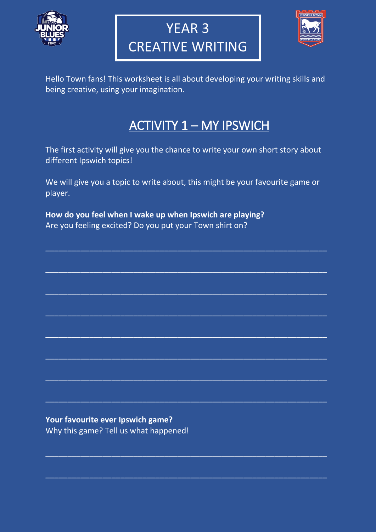

# YEAR 3 CREATIVE WRITING



Hello Town fans! This worksheet is all about developing your writing skills and being creative, using your imagination.

### ACTIVITY 1 – MY IPSWICH

The first activity will give you the chance to write your own short story about different Ipswich topics!

We will give you a topic to write about, this might be your favourite game or player.

 $\_$  , and the set of the set of the set of the set of the set of the set of the set of the set of the set of the set of the set of the set of the set of the set of the set of the set of the set of the set of the set of th

 $\overline{\phantom{a}}$  , and the contribution of the contribution of the contribution of the contribution of the contribution of the contribution of the contribution of the contribution of the contribution of the contribution of the

 $\overline{\phantom{a}}$  , and the contribution of the contribution of the contribution of the contribution of the contribution of the contribution of the contribution of the contribution of the contribution of the contribution of the

 $\overline{\phantom{a}}$  , and the contribution of the contribution of the contribution of the contribution of the contribution of the contribution of the contribution of the contribution of the contribution of the contribution of the

 $\_$  , and the set of the set of the set of the set of the set of the set of the set of the set of the set of the set of the set of the set of the set of the set of the set of the set of the set of the set of the set of th

 $\_$  , and the set of the set of the set of the set of the set of the set of the set of the set of the set of the set of the set of the set of the set of the set of the set of the set of the set of the set of the set of th

 $\overline{\phantom{a}}$  , and the contribution of the contribution of the contribution of the contribution of the contribution of the contribution of the contribution of the contribution of the contribution of the contribution of the

 $\overline{\phantom{a}}$  , and the contribution of the contribution of the contribution of the contribution of the contribution of the contribution of the contribution of the contribution of the contribution of the contribution of the

 $\overline{\phantom{a}}$  , and the contribution of the contribution of the contribution of the contribution of the contribution of the contribution of the contribution of the contribution of the contribution of the contribution of the

 $\_$  , and the set of the set of the set of the set of the set of the set of the set of the set of the set of the set of the set of the set of the set of the set of the set of the set of the set of the set of the set of th

**How do you feel when I wake up when Ipswich are playing?** Are you feeling excited? Do you put your Town shirt on?

**Your favourite ever Ipswich game?** Why this game? Tell us what happened!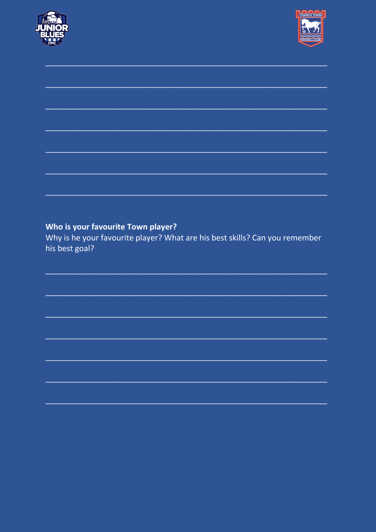



#### Who is your favourite Town player?

Why is he your favourite player? What are his best skills? Can you remember his best goal?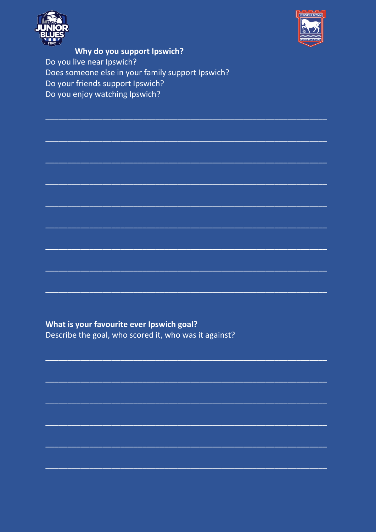



Why do you support Ipswich? Do you live near Ipswich? Does someone else in your family support Ipswich? Do your friends support Ipswich? Do you enjoy watching Ipswich?

What is your favourite ever Ipswich goal?

Describe the goal, who scored it, who was it against?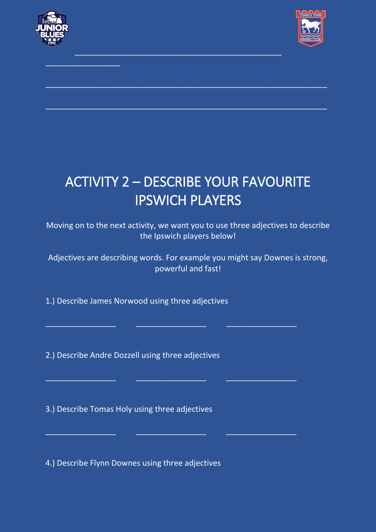

\_\_\_\_\_\_\_\_\_\_\_\_\_\_\_\_\_



## ACTIVITY 2 – DESCRIBE YOUR FAVOURITE IPSWICH PLAYERS

\_\_\_\_\_\_\_\_\_\_\_\_\_\_\_\_\_\_\_\_\_\_\_\_\_\_\_\_\_\_\_\_\_\_\_\_\_\_\_\_\_\_\_\_\_\_\_

 $\overline{\phantom{a}}$  , and the contribution of the contribution of the contribution of the contribution of the contribution of the contribution of the contribution of the contribution of the contribution of the contribution of the

 $\_$  , and the set of the set of the set of the set of the set of the set of the set of the set of the set of the set of the set of the set of the set of the set of the set of the set of the set of the set of the set of th

Moving on to the next activity, we want you to use three adjectives to describe the Ipswich players below!

Adjectives are describing words. For example you might say Downes is strong, powerful and fast!

\_\_\_\_\_\_\_\_\_\_\_\_\_\_\_\_ \_\_\_\_\_\_\_\_\_\_\_\_\_\_\_\_ \_\_\_\_\_\_\_\_\_\_\_\_\_\_\_\_

\_\_\_\_\_\_\_\_\_\_\_\_\_\_\_\_ \_\_\_\_\_\_\_\_\_\_\_\_\_\_\_\_ \_\_\_\_\_\_\_\_\_\_\_\_\_\_\_\_

\_\_\_\_\_\_\_\_\_\_\_\_\_\_\_\_ \_\_\_\_\_\_\_\_\_\_\_\_\_\_\_\_ \_\_\_\_\_\_\_\_\_\_\_\_\_\_\_\_

1.) Describe James Norwood using three adjectives

2.) Describe Andre Dozzell using three adjectives

3.) Describe Tomas Holy using three adjectives

4.) Describe Flynn Downes using three adjectives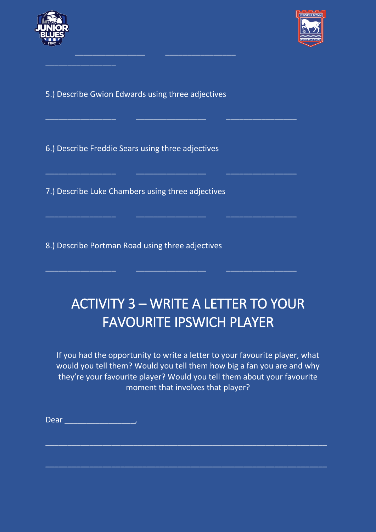

 $\overline{\phantom{a}}$  , we can assume that the set of  $\overline{\phantom{a}}$ 



5.) Describe Gwion Edwards using three adjectives

\_\_\_\_\_\_\_\_\_\_\_\_\_\_\_\_ \_\_\_\_\_\_\_\_\_\_\_\_\_\_\_\_

\_\_\_\_\_\_\_\_\_\_\_\_\_\_\_\_ \_\_\_\_\_\_\_\_\_\_\_\_\_\_\_\_ \_\_\_\_\_\_\_\_\_\_\_\_\_\_\_\_

\_\_\_\_\_\_\_\_\_\_\_\_\_\_\_\_ \_\_\_\_\_\_\_\_\_\_\_\_\_\_\_\_ \_\_\_\_\_\_\_\_\_\_\_\_\_\_\_\_

\_\_\_\_\_\_\_\_\_\_\_\_\_\_\_\_ \_\_\_\_\_\_\_\_\_\_\_\_\_\_\_\_ \_\_\_\_\_\_\_\_\_\_\_\_\_\_\_\_

 $\overline{\phantom{a}}$  , and the contribution of  $\overline{\phantom{a}}$  , and  $\overline{\phantom{a}}$  , and  $\overline{\phantom{a}}$  , and  $\overline{\phantom{a}}$  , and  $\overline{\phantom{a}}$ 

6.) Describe Freddie Sears using three adjectives

7.) Describe Luke Chambers using three adjectives

8.) Describe Portman Road using three adjectives

### ACTIVITY 3 – WRITE A LETTER TO YOUR FAVOURITE IPSWICH PLAYER

If you had the opportunity to write a letter to your favourite player, what would you tell them? Would you tell them how big a fan you are and why they're your favourite player? Would you tell them about your favourite moment that involves that player?

 $\overline{a}$  , and the contribution of the contribution of the contribution of the contribution of the contribution of the contribution of the contribution of the contribution of the contribution of the contribution of the co

 $\_$  , and the set of the set of the set of the set of the set of the set of the set of the set of the set of the set of the set of the set of the set of the set of the set of the set of the set of the set of the set of th

Dear \_\_\_\_\_\_\_\_\_\_\_\_\_\_\_\_,